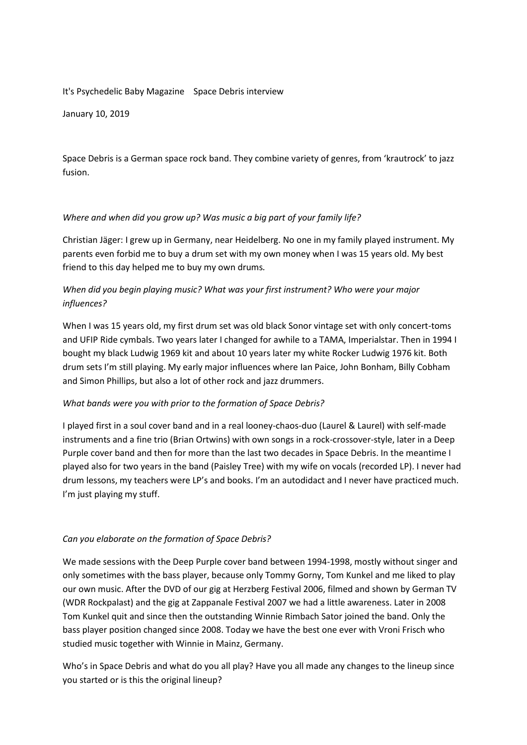#### It's Psychedelic Baby Magazine Space Debris interview

January 10, 2019

Space Debris is a German space rock band. They combine variety of genres, from 'krautrock' to jazz fusion.

### *Where and when did you grow up? Was music a big part of your family life?*

Christian Jäger: I grew up in Germany, near Heidelberg. No one in my family played instrument. My parents even forbid me to buy a drum set with my own money when I was 15 years old. My best friend to this day helped me to buy my own drums*.*

# *When did you begin playing music? What was your first instrument? Who were your major influences?*

When I was 15 years old, my first drum set was old black Sonor vintage set with only concert-toms and UFIP Ride cymbals. Two years later I changed for awhile to a TAMA, Imperialstar. Then in 1994 I bought my black Ludwig 1969 kit and about 10 years later my white Rocker Ludwig 1976 kit. Both drum sets I'm still playing. My early major influences where Ian Paice, John Bonham, Billy Cobham and Simon Phillips, but also a lot of other rock and jazz drummers.

## *What bands were you with prior to the formation of Space Debris?*

I played first in a soul cover band and in a real looney-chaos-duo (Laurel & Laurel) with self-made instruments and a fine trio (Brian Ortwins) with own songs in a rock-crossover-style, later in a Deep Purple cover band and then for more than the last two decades in Space Debris. In the meantime I played also for two years in the band (Paisley Tree) with my wife on vocals (recorded LP). I never had drum lessons, my teachers were LP's and books. I'm an autodidact and I never have practiced much. I'm just playing my stuff.

## *Can you elaborate on the formation of Space Debris?*

We made sessions with the Deep Purple cover band between 1994-1998, mostly without singer and only sometimes with the bass player, because only Tommy Gorny, Tom Kunkel and me liked to play our own music. After the DVD of our gig at Herzberg Festival 2006, filmed and shown by German TV (WDR Rockpalast) and the gig at Zappanale Festival 2007 we had a little awareness. Later in 2008 Tom Kunkel quit and since then the outstanding Winnie Rimbach Sator joined the band. Only the bass player position changed since 2008. Today we have the best one ever with Vroni Frisch who studied music together with Winnie in Mainz, Germany.

Who's in Space Debris and what do you all play? Have you all made any changes to the lineup since you started or is this the original lineup?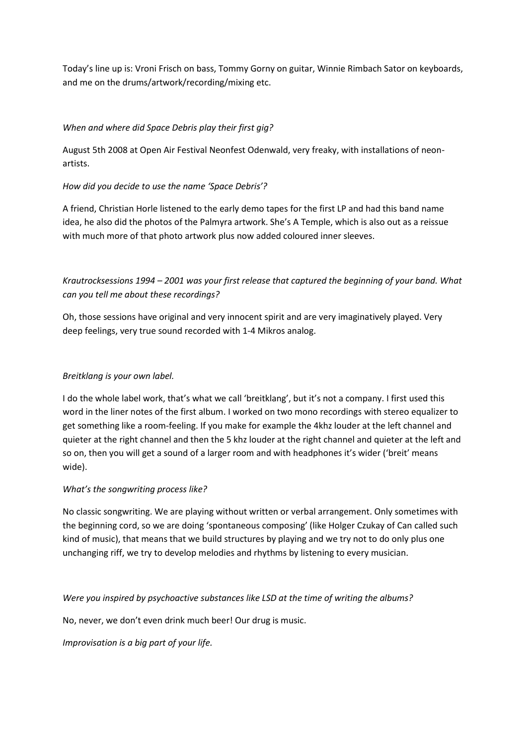Today's line up is: Vroni Frisch on bass, Tommy Gorny on guitar, Winnie Rimbach Sator on keyboards, and me on the drums/artwork/recording/mixing etc.

### *When and where did Space Debris play their first gig?*

August 5th 2008 at Open Air Festival Neonfest Odenwald, very freaky, with installations of neonartists.

### *How did you decide to use the name 'Space Debris'?*

A friend, Christian Horle listened to the early demo tapes for the first LP and had this band name idea, he also did the photos of the Palmyra artwork. She's A Temple, which is also out as a reissue with much more of that photo artwork plus now added coloured inner sleeves.

*Krautrocksessions 1994 – 2001 was your first release that captured the beginning of your band. What can you tell me about these recordings?*

Oh, those sessions have original and very innocent spirit and are very imaginatively played. Very deep feelings, very true sound recorded with 1-4 Mikros analog.

#### *Breitklang is your own label.*

I do the whole label work, that's what we call 'breitklang', but it's not a company. I first used this word in the liner notes of the first album. I worked on two mono recordings with stereo equalizer to get something like a room-feeling. If you make for example the 4khz louder at the left channel and quieter at the right channel and then the 5 khz louder at the right channel and quieter at the left and so on, then you will get a sound of a larger room and with headphones it's wider ('breit' means wide).

#### *What's the songwriting process like?*

No classic songwriting. We are playing without written or verbal arrangement. Only sometimes with the beginning cord, so we are doing 'spontaneous composing' (like Holger Czukay of Can called such kind of music), that means that we build structures by playing and we try not to do only plus one unchanging riff, we try to develop melodies and rhythms by listening to every musician.

*Were you inspired by psychoactive substances like LSD at the time of writing the albums?*

No, never, we don't even drink much beer! Our drug is music.

*Improvisation is a big part of your life.*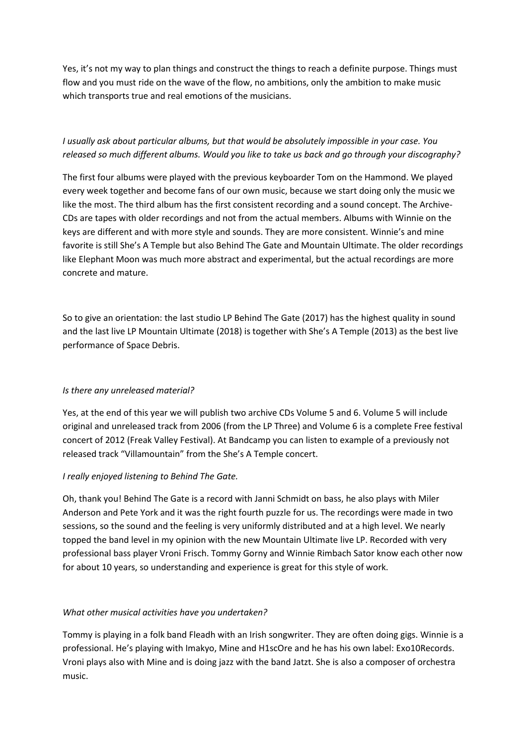Yes, it's not my way to plan things and construct the things to reach a definite purpose. Things must flow and you must ride on the wave of the flow, no ambitions, only the ambition to make music which transports true and real emotions of the musicians.

# *I usually ask about particular albums, but that would be absolutely impossible in your case. You released so much different albums. Would you like to take us back and go through your discography?*

The first four albums were played with the previous keyboarder Tom on the Hammond. We played every week together and become fans of our own music, because we start doing only the music we like the most. The third album has the first consistent recording and a sound concept. The Archive-CDs are tapes with older recordings and not from the actual members. Albums with Winnie on the keys are different and with more style and sounds. They are more consistent. Winnie's and mine favorite is still She's A Temple but also Behind The Gate and Mountain Ultimate. The older recordings like Elephant Moon was much more abstract and experimental, but the actual recordings are more concrete and mature.

So to give an orientation: the last studio LP Behind The Gate (2017) has the highest quality in sound and the last live LP Mountain Ultimate (2018) is together with She's A Temple (2013) as the best live performance of Space Debris.

## *Is there any unreleased material?*

Yes, at the end of this year we will publish two archive CDs Volume 5 and 6. Volume 5 will include original and unreleased track from 2006 (from the LP Three) and Volume 6 is a complete Free festival concert of 2012 (Freak Valley Festival). At Bandcamp you can listen to example of a previously not released track "Villamountain" from the She's A Temple concert.

## *I really enjoyed listening to Behind The Gate.*

Oh, thank you! Behind The Gate is a record with Janni Schmidt on bass, he also plays with Miler Anderson and Pete York and it was the right fourth puzzle for us. The recordings were made in two sessions, so the sound and the feeling is very uniformly distributed and at a high level. We nearly topped the band level in my opinion with the new Mountain Ultimate live LP. Recorded with very professional bass player Vroni Frisch. Tommy Gorny and Winnie Rimbach Sator know each other now for about 10 years, so understanding and experience is great for this style of work.

## *What other musical activities have you undertaken?*

Tommy is playing in a folk band Fleadh with an Irish songwriter. They are often doing gigs. Winnie is a professional. He's playing with Imakyo, Mine and H1scOre and he has his own label: Exo10Records. Vroni plays also with Mine and is doing jazz with the band Jatzt. She is also a composer of orchestra music.